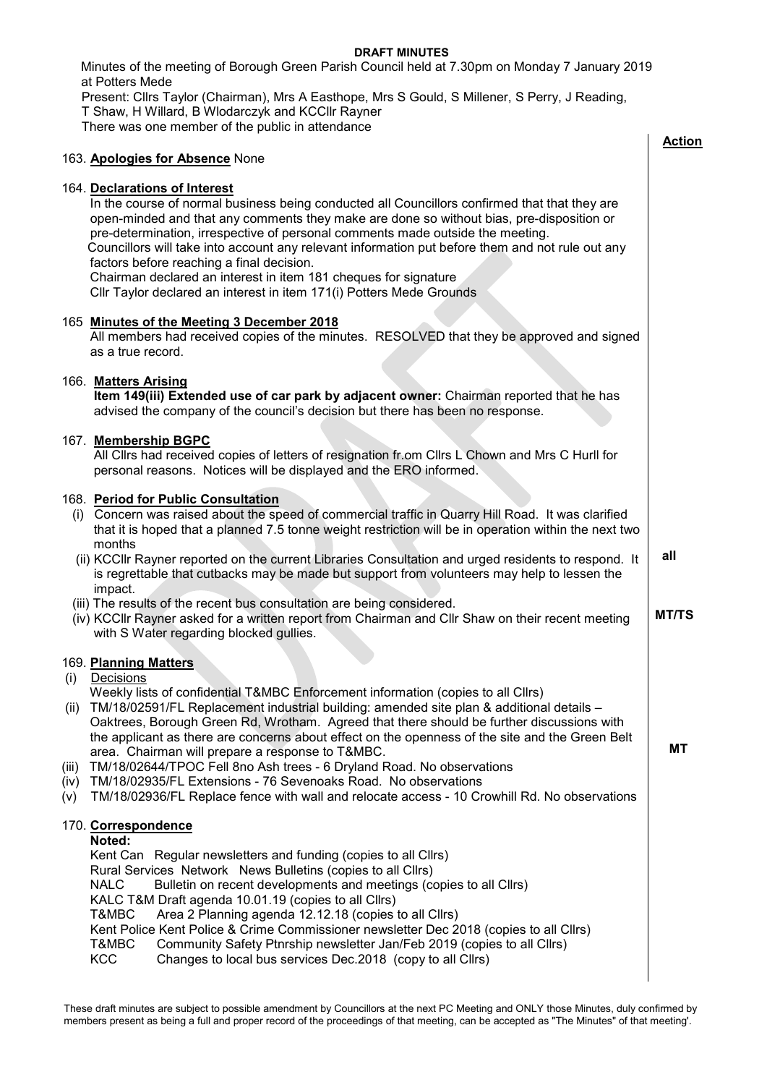## **DRAFT MINUTES**

 Minutes of the meeting of Borough Green Parish Council held at 7.30pm on Monday 7 January 2019 at Potters Mede

Present: Cllrs Taylor (Chairman), Mrs A Easthope, Mrs S Gould, S Millener, S Perry, J Reading, T Shaw, H Willard, B Wlodarczyk and KCCllr Rayner There was one member of the public in attendance

|                             |                                                                                                                                                                                                                                                                                                                                                                                                                                                                                                                                                                                                                                                                                                                        | <b>Action</b> |
|-----------------------------|------------------------------------------------------------------------------------------------------------------------------------------------------------------------------------------------------------------------------------------------------------------------------------------------------------------------------------------------------------------------------------------------------------------------------------------------------------------------------------------------------------------------------------------------------------------------------------------------------------------------------------------------------------------------------------------------------------------------|---------------|
|                             | 163. Apologies for Absence None                                                                                                                                                                                                                                                                                                                                                                                                                                                                                                                                                                                                                                                                                        |               |
|                             | 164. Declarations of Interest<br>In the course of normal business being conducted all Councillors confirmed that that they are<br>open-minded and that any comments they make are done so without bias, pre-disposition or<br>pre-determination, irrespective of personal comments made outside the meeting.<br>Councillors will take into account any relevant information put before them and not rule out any<br>factors before reaching a final decision.<br>Chairman declared an interest in item 181 cheques for signature<br>Cllr Taylor declared an interest in item 171(i) Potters Mede Grounds                                                                                                               |               |
|                             | 165 Minutes of the Meeting 3 December 2018<br>All members had received copies of the minutes. RESOLVED that they be approved and signed<br>as a true record.                                                                                                                                                                                                                                                                                                                                                                                                                                                                                                                                                           |               |
|                             | 166. Matters Arising<br>Item 149(iii) Extended use of car park by adjacent owner: Chairman reported that he has<br>advised the company of the council's decision but there has been no response.                                                                                                                                                                                                                                                                                                                                                                                                                                                                                                                       |               |
|                             | 167. Membership BGPC<br>All Clirs had received copies of letters of resignation fr.om Clirs L Chown and Mrs C Hurll for<br>personal reasons. Notices will be displayed and the ERO informed.                                                                                                                                                                                                                                                                                                                                                                                                                                                                                                                           |               |
| (1)                         | 168. Period for Public Consultation<br>Concern was raised about the speed of commercial traffic in Quarry Hill Road. It was clarified<br>that it is hoped that a planned 7.5 tonne weight restriction will be in operation within the next two<br>months<br>(ii) KCCIIr Rayner reported on the current Libraries Consultation and urged residents to respond. It<br>is regrettable that cutbacks may be made but support from volunteers may help to lessen the                                                                                                                                                                                                                                                        | all           |
|                             | impact.<br>(iii) The results of the recent bus consultation are being considered.<br>(iv) KCCIIr Rayner asked for a written report from Chairman and CIIr Shaw on their recent meeting<br>with S Water regarding blocked gullies.                                                                                                                                                                                                                                                                                                                                                                                                                                                                                      | <b>MT/TS</b>  |
| (i)<br>(iii)<br>(iv)<br>(V) | 169. Planning Matters<br>Decisions<br>Weekly lists of confidential T&MBC Enforcement information (copies to all ClIrs)<br>(ii) TM/18/02591/FL Replacement industrial building: amended site plan & additional details -<br>Oaktrees, Borough Green Rd, Wrotham. Agreed that there should be further discussions with<br>the applicant as there are concerns about effect on the openness of the site and the Green Belt<br>area. Chairman will prepare a response to T&MBC.<br>TM/18/02644/TPOC Fell 8no Ash trees - 6 Dryland Road. No observations<br>TM/18/02935/FL Extensions - 76 Sevenoaks Road. No observations<br>TM/18/02936/FL Replace fence with wall and relocate access - 10 Crowhill Rd. No observations | МT            |
|                             | 170. Correspondence<br>Noted:<br>Kent Can Regular newsletters and funding (copies to all Cllrs)<br>Rural Services Network News Bulletins (copies to all Cllrs)<br>Bulletin on recent developments and meetings (copies to all Cllrs)<br><b>NALC</b><br>KALC T&M Draft agenda 10.01.19 (copies to all Cllrs)<br>T&MBC<br>Area 2 Planning agenda 12.12.18 (copies to all Cllrs)<br>Kent Police Kent Police & Crime Commissioner newsletter Dec 2018 (copies to all Cllrs)<br>T&MBC<br>Community Safety Ptnrship newsletter Jan/Feb 2019 (copies to all Cllrs)<br><b>KCC</b><br>Changes to local bus services Dec.2018 (copy to all Cllrs)                                                                                |               |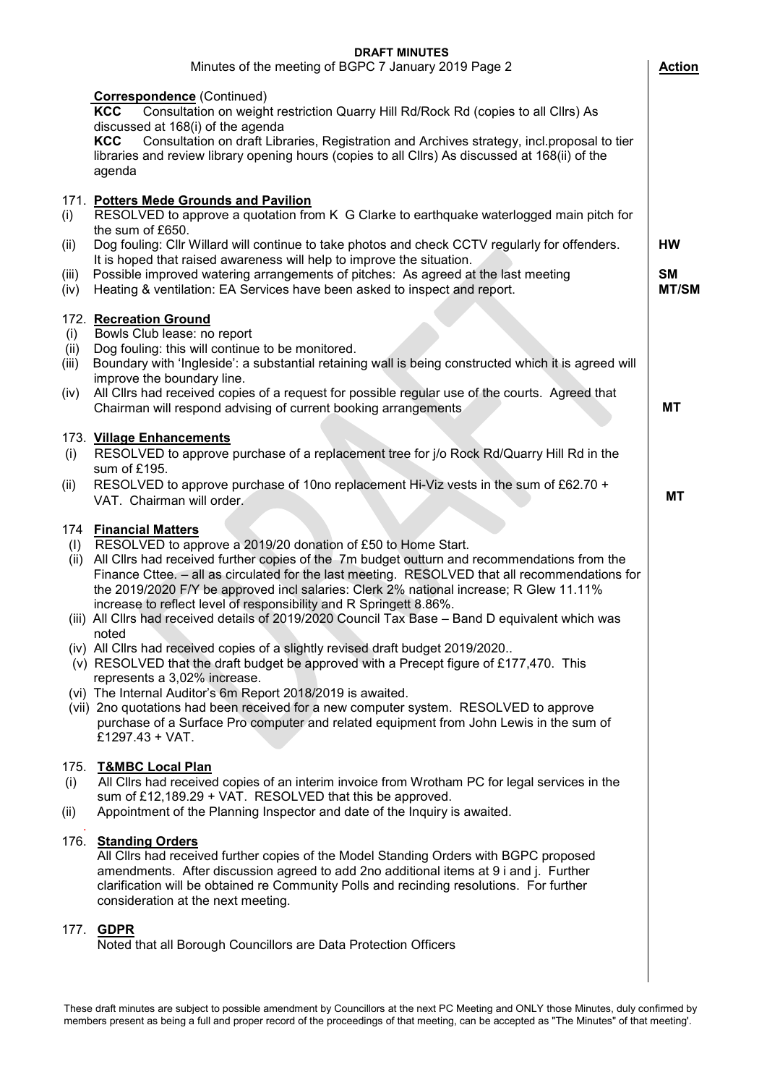|                              | <b>DRAFT MINUTES</b>                                                                                                                                                                                                                                                                                                                                                                                                                                                                                                                                                                                                                                                                                                                                                                                                                                                                                                                              |                                        |
|------------------------------|---------------------------------------------------------------------------------------------------------------------------------------------------------------------------------------------------------------------------------------------------------------------------------------------------------------------------------------------------------------------------------------------------------------------------------------------------------------------------------------------------------------------------------------------------------------------------------------------------------------------------------------------------------------------------------------------------------------------------------------------------------------------------------------------------------------------------------------------------------------------------------------------------------------------------------------------------|----------------------------------------|
|                              | Minutes of the meeting of BGPC 7 January 2019 Page 2                                                                                                                                                                                                                                                                                                                                                                                                                                                                                                                                                                                                                                                                                                                                                                                                                                                                                              | <b>Action</b>                          |
|                              | <b>Correspondence</b> (Continued)<br><b>KCC</b><br>Consultation on weight restriction Quarry Hill Rd/Rock Rd (copies to all Cllrs) As<br>discussed at 168(i) of the agenda<br><b>KCC</b><br>Consultation on draft Libraries, Registration and Archives strategy, incl.proposal to tier<br>libraries and review library opening hours (copies to all Cllrs) As discussed at 168(ii) of the<br>agenda                                                                                                                                                                                                                                                                                                                                                                                                                                                                                                                                               |                                        |
| (i)<br>(ii)<br>(iii)<br>(iv) | 171. Potters Mede Grounds and Pavilion<br>RESOLVED to approve a quotation from K G Clarke to earthquake waterlogged main pitch for<br>the sum of £650.<br>Dog fouling: Cllr Willard will continue to take photos and check CCTV regularly for offenders.<br>It is hoped that raised awareness will help to improve the situation.<br>Possible improved watering arrangements of pitches: As agreed at the last meeting<br>Heating & ventilation: EA Services have been asked to inspect and report.                                                                                                                                                                                                                                                                                                                                                                                                                                               | <b>HW</b><br><b>SM</b><br><b>MT/SM</b> |
| (i)<br>(ii)<br>(iii)<br>(iv) | 172. Recreation Ground<br>Bowls Club lease: no report<br>Dog fouling: this will continue to be monitored.<br>Boundary with 'Ingleside': a substantial retaining wall is being constructed which it is agreed will<br>improve the boundary line.<br>All Clirs had received copies of a request for possible regular use of the courts. Agreed that<br>Chairman will respond advising of current booking arrangements                                                                                                                                                                                                                                                                                                                                                                                                                                                                                                                               | МT                                     |
| (i)<br>(ii)                  | 173. Village Enhancements<br>RESOLVED to approve purchase of a replacement tree for j/o Rock Rd/Quarry Hill Rd in the<br>sum of £195.<br>RESOLVED to approve purchase of 10no replacement Hi-Viz vests in the sum of £62.70 +<br>VAT. Chairman will order.                                                                                                                                                                                                                                                                                                                                                                                                                                                                                                                                                                                                                                                                                        | МT                                     |
|                              | 174 Financial Matters<br>(I) RESOLVED to approve a 2019/20 donation of £50 to Home Start.<br>(ii) All Cllrs had received further copies of the 7m budget outturn and recommendations from the<br>Finance Cttee. - all as circulated for the last meeting. RESOLVED that all recommendations for<br>the 2019/2020 F/Y be approved incl salaries: Clerk 2% national increase; R Glew 11.11%<br>increase to reflect level of responsibility and R Springett 8.86%.<br>(iii) All Cllrs had received details of 2019/2020 Council Tax Base - Band D equivalent which was<br>noted<br>(iv) All Cllrs had received copies of a slightly revised draft budget 2019/2020<br>(v) RESOLVED that the draft budget be approved with a Precept figure of £177,470. This<br>represents a 3,02% increase.<br>(vi) The Internal Auditor's 6m Report 2018/2019 is awaited.<br>(vii) 2no quotations had been received for a new computer system. RESOLVED to approve |                                        |
| 175.<br>(i)<br>(ii)          | purchase of a Surface Pro computer and related equipment from John Lewis in the sum of<br>£1297.43 + VAT.<br><b>T&amp;MBC Local Plan</b><br>All Cllrs had received copies of an interim invoice from Wrotham PC for legal services in the<br>sum of £12,189.29 + VAT. RESOLVED that this be approved.<br>Appointment of the Planning Inspector and date of the Inquiry is awaited.                                                                                                                                                                                                                                                                                                                                                                                                                                                                                                                                                                |                                        |
|                              | 176. Standing Orders<br>All Cllrs had received further copies of the Model Standing Orders with BGPC proposed<br>amendments. After discussion agreed to add 2no additional items at 9 i and j. Further<br>clarification will be obtained re Community Polls and recinding resolutions. For further<br>consideration at the next meeting.                                                                                                                                                                                                                                                                                                                                                                                                                                                                                                                                                                                                          |                                        |
|                              | 177. <b>GDPR</b><br>Noted that all Borough Councillors are Data Protection Officers                                                                                                                                                                                                                                                                                                                                                                                                                                                                                                                                                                                                                                                                                                                                                                                                                                                               |                                        |